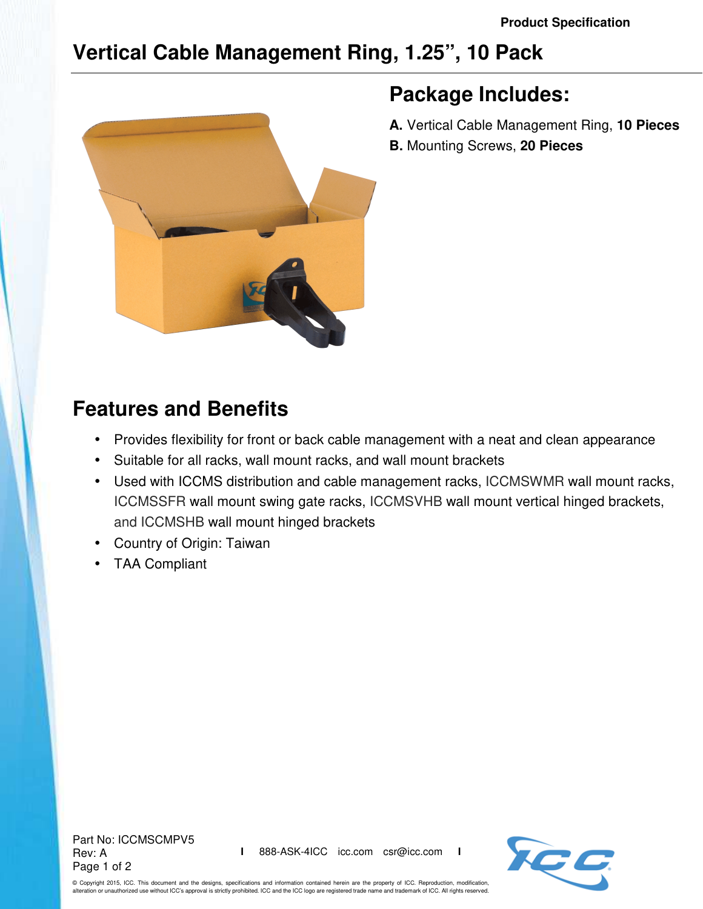## **Vertical Cable Management Ring, 1.25", 10 Pack**



## **Package Includes:**

- **A.** Vertical Cable Management Ring, **10 Pieces**
- **B.** Mounting Screws, **20 Pieces**

## **Features and Benefits**

- Provides flexibility for front or back cable management with a neat and clean appearance
- Suitable for all racks, wall mount racks, and wall mount brackets
- Used with ICCMS distribution and cable management racks, ICCMSWMR wall mount racks, ICCMSSFR wall mount swing gate racks, ICCMSVHB wall mount vertical hinged brackets, and ICCMSHB wall mount hinged brackets
- Country of Origin: Taiwan
- TAA Compliant

Part No: ICCMSCMPV5 Rev: A Page 1 of 2



© Copyright 2015, ICC. This document and the designs, specifications and information contained herein are the property of ICC. Reproduction, modification, alteration or unauthorized use without ICC's approval is strictly prohibited. ICC and the ICC logo are registered trade name and trademark of ICC. All rights reserved.